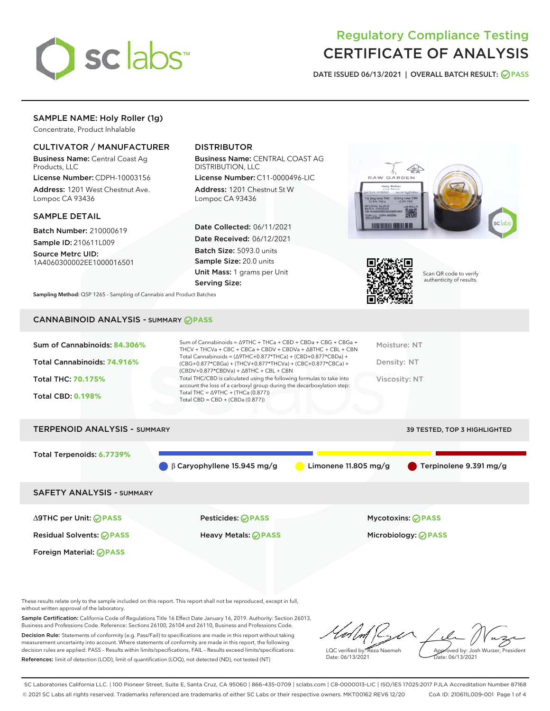

# Regulatory Compliance Testing CERTIFICATE OF ANALYSIS

DATE ISSUED 06/13/2021 | OVERALL BATCH RESULT: @ PASS

# SAMPLE NAME: Holy Roller (1g)

Concentrate, Product Inhalable

# CULTIVATOR / MANUFACTURER

Business Name: Central Coast Ag Products, LLC

License Number: CDPH-10003156 Address: 1201 West Chestnut Ave. Lompoc CA 93436

### SAMPLE DETAIL

Batch Number: 210000619 Sample ID: 210611L009

Source Metrc UID: 1A4060300002EE1000016501

# DISTRIBUTOR

Business Name: CENTRAL COAST AG DISTRIBUTION, LLC

License Number: C11-0000496-LIC Address: 1201 Chestnut St W Lompoc CA 93436

Date Collected: 06/11/2021 Date Received: 06/12/2021 Batch Size: 5093.0 units Sample Size: 20.0 units Unit Mass: 1 grams per Unit Serving Size:





Scan QR code to verify authenticity of results.

Sampling Method: QSP 1265 - Sampling of Cannabis and Product Batches

# CANNABINOID ANALYSIS - SUMMARY **PASS**

| Total THC/CBD is calculated using the following formulas to take into<br><b>Total THC: 70.175%</b><br>Viscosity: NT<br>account the loss of a carboxyl group during the decarboxylation step:<br>Total THC = $\triangle$ 9THC + (THCa (0.877))<br><b>Total CBD: 0.198%</b><br>Total CBD = $CBD + (CBDa (0.877))$ | Sum of Cannabinoids: 84.306%<br>Total Cannabinoids: 74.916% | Sum of Cannabinoids = $\triangle$ 9THC + THCa + CBD + CBDa + CBG + CBGa +<br>THCV + THCVa + CBC + CBCa + CBDV + CBDVa + $\Delta$ 8THC + CBL + CBN<br>Total Cannabinoids = $(\Delta$ 9THC+0.877*THCa) + (CBD+0.877*CBDa) +<br>(CBG+0.877*CBGa) + (THCV+0.877*THCVa) + (CBC+0.877*CBCa) +<br>$(CBDV+0.877*CBDVa) + \Delta 8THC + CBL + CBN$ | Moisture: NT<br>Density: NT |
|-----------------------------------------------------------------------------------------------------------------------------------------------------------------------------------------------------------------------------------------------------------------------------------------------------------------|-------------------------------------------------------------|-------------------------------------------------------------------------------------------------------------------------------------------------------------------------------------------------------------------------------------------------------------------------------------------------------------------------------------------|-----------------------------|
|                                                                                                                                                                                                                                                                                                                 |                                                             |                                                                                                                                                                                                                                                                                                                                           |                             |
|                                                                                                                                                                                                                                                                                                                 |                                                             |                                                                                                                                                                                                                                                                                                                                           |                             |

# TERPENOID ANALYSIS - SUMMARY 39 TESTED, TOP 3 HIGHLIGHTED

Total Terpenoids: **6.7739%**

β Caryophyllene 15.945 mg/g Limonene 11.805 mg/g Terpinolene 9.391 mg/g

# SAFETY ANALYSIS - SUMMARY

∆9THC per Unit: **PASS** Pesticides: **PASS** Mycotoxins: **PASS**

Foreign Material: **PASS**

Residual Solvents: **PASS** Heavy Metals: **PASS** Microbiology: **PASS**

These results relate only to the sample included on this report. This report shall not be reproduced, except in full, without written approval of the laboratory.

Sample Certification: California Code of Regulations Title 16 Effect Date January 16, 2019. Authority: Section 26013, Business and Professions Code. Reference: Sections 26100, 26104 and 26110, Business and Professions Code. Decision Rule: Statements of conformity (e.g. Pass/Fail) to specifications are made in this report without taking measurement uncertainty into account. Where statements of conformity are made in this report, the following decision rules are applied: PASS – Results within limits/specifications, FAIL – Results exceed limits/specifications.

References: limit of detection (LOD), limit of quantification (LOQ), not detected (ND), not tested (NT)

LQC verified by: Reza Naemeh Date: 06/13/2021 Approved by: Josh Wurzer, President Date: 06/13/2021

SC Laboratories California LLC. | 100 Pioneer Street, Suite E, Santa Cruz, CA 95060 | 866-435-0709 | sclabs.com | C8-0000013-LIC | ISO/IES 17025:2017 PJLA Accreditation Number 87168 © 2021 SC Labs all rights reserved. Trademarks referenced are trademarks of either SC Labs or their respective owners. MKT00162 REV6 12/20 CoA ID: 210611L009-001 Page 1 of 4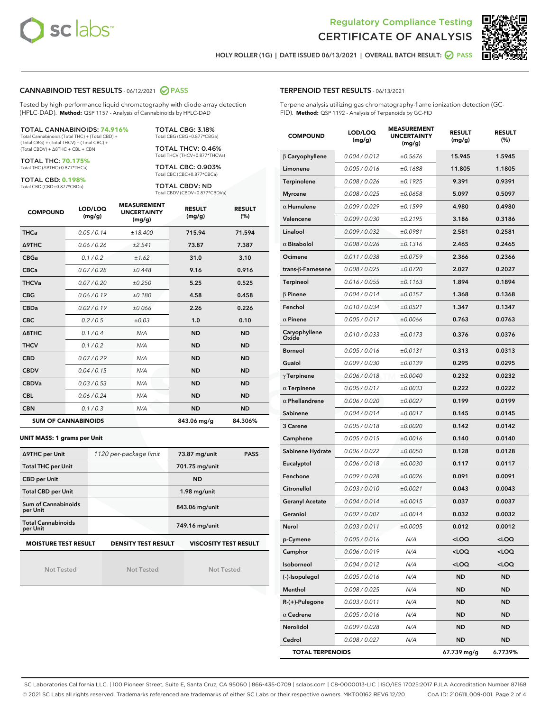



HOLY ROLLER (1G) | DATE ISSUED 06/13/2021 | OVERALL BATCH RESULT:  $\bigcirc$  PASS

## CANNABINOID TEST RESULTS - 06/12/2021 2 PASS

Tested by high-performance liquid chromatography with diode-array detection (HPLC-DAD). **Method:** QSP 1157 - Analysis of Cannabinoids by HPLC-DAD

#### TOTAL CANNABINOIDS: **74.916%**

Total Cannabinoids (Total THC) + (Total CBD) + (Total CBG) + (Total THCV) + (Total CBC) + (Total CBDV) + ∆8THC + CBL + CBN

TOTAL THC: **70.175%** Total THC (∆9THC+0.877\*THCa)

TOTAL CBD: **0.198%**

Total CBD (CBD+0.877\*CBDa)

TOTAL CBG: 3.18% Total CBG (CBG+0.877\*CBGa)

TOTAL THCV: 0.46% Total THCV (THCV+0.877\*THCVa)

TOTAL CBC: 0.903% Total CBC (CBC+0.877\*CBCa)

TOTAL CBDV: ND Total CBDV (CBDV+0.877\*CBDVa)

| <b>COMPOUND</b>  | LOD/LOQ<br>(mg/g)          | <b>MEASUREMENT</b><br><b>UNCERTAINTY</b><br>(mg/g) | <b>RESULT</b><br>(mg/g) | <b>RESULT</b><br>(%) |
|------------------|----------------------------|----------------------------------------------------|-------------------------|----------------------|
| <b>THCa</b>      | 0.05/0.14                  | ±18.400                                            | 715.94                  | 71.594               |
| <b>A9THC</b>     | 0.06 / 0.26                | ±2.541                                             | 73.87                   | 7.387                |
| <b>CBGa</b>      | 0.1/0.2                    | ±1.62                                              | 31.0                    | 3.10                 |
| <b>CBCa</b>      | 0.07/0.28                  | ±0.448                                             | 9.16                    | 0.916                |
| <b>THCVa</b>     | 0.07/0.20                  | ±0.250                                             | 5.25                    | 0.525                |
| <b>CBG</b>       | 0.06/0.19                  | ±0.180                                             | 4.58                    | 0.458                |
| <b>CBDa</b>      | 0.02/0.19                  | ±0.066                                             | 2.26                    | 0.226                |
| <b>CBC</b>       | 0.2 / 0.5                  | ±0.03                                              | 1.0                     | 0.10                 |
| $\triangle$ 8THC | 0.1/0.4                    | N/A                                                | <b>ND</b>               | <b>ND</b>            |
| <b>THCV</b>      | 0.1/0.2                    | N/A                                                | <b>ND</b>               | <b>ND</b>            |
| <b>CBD</b>       | 0.07/0.29                  | N/A                                                | <b>ND</b>               | <b>ND</b>            |
| <b>CBDV</b>      | 0.04 / 0.15                | N/A                                                | <b>ND</b>               | <b>ND</b>            |
| <b>CBDVa</b>     | 0.03/0.53                  | N/A                                                | <b>ND</b>               | <b>ND</b>            |
| <b>CBL</b>       | 0.06 / 0.24                | N/A                                                | <b>ND</b>               | <b>ND</b>            |
| <b>CBN</b>       | 0.1/0.3                    | N/A                                                | <b>ND</b>               | <b>ND</b>            |
|                  | <b>SUM OF CANNABINOIDS</b> |                                                    | 843.06 mg/g             | 84.306%              |

#### **UNIT MASS: 1 grams per Unit**

| ∆9THC per Unit                        | 1120 per-package limit     | 73.87 mg/unit<br><b>PASS</b> |
|---------------------------------------|----------------------------|------------------------------|
| <b>Total THC per Unit</b>             |                            | 701.75 mg/unit               |
| <b>CBD per Unit</b>                   |                            | <b>ND</b>                    |
| <b>Total CBD per Unit</b>             |                            | $1.98$ mg/unit               |
| Sum of Cannabinoids<br>per Unit       |                            | 843.06 mg/unit               |
| <b>Total Cannabinoids</b><br>per Unit |                            | 749.16 mg/unit               |
| <b>MOISTURE TEST RESULT</b>           | <b>DENSITY TEST RESULT</b> | <b>VISCOSITY TEST RESULT</b> |

Not Tested

Not Tested

Not Tested

### TERPENOID TEST RESULTS - 06/13/2021

Terpene analysis utilizing gas chromatography-flame ionization detection (GC-FID). **Method:** QSP 1192 - Analysis of Terpenoids by GC-FID

| <b>COMPOUND</b>           | LOD/LOQ<br>(mg/g) | <b>MEASUREMENT</b><br><b>UNCERTAINTY</b><br>(mg/g) | <b>RESULT</b><br>(mg/g)                         | <b>RESULT</b><br>(%) |
|---------------------------|-------------------|----------------------------------------------------|-------------------------------------------------|----------------------|
| $\beta$ Caryophyllene     | 0.004 / 0.012     | ±0.5676                                            | 15.945                                          | 1.5945               |
| Limonene                  | 0.005 / 0.016     | ±0.1688                                            | 11.805                                          | 1.1805               |
| Terpinolene               | 0.008 / 0.026     | ±0.1925                                            | 9.391                                           | 0.9391               |
| <b>Myrcene</b>            | 0.008 / 0.025     | ±0.0658                                            | 5.097                                           | 0.5097               |
| $\alpha$ Humulene         | 0.009 / 0.029     | ±0.1599                                            | 4.980                                           | 0.4980               |
| Valencene                 | 0.009 / 0.030     | ±0.2195                                            | 3.186                                           | 0.3186               |
| Linalool                  | 0.009 / 0.032     | ±0.0981                                            | 2.581                                           | 0.2581               |
| $\alpha$ Bisabolol        | 0.008 / 0.026     | ±0.1316                                            | 2.465                                           | 0.2465               |
| Ocimene                   | 0.011 / 0.038     | ±0.0759                                            | 2.366                                           | 0.2366               |
| trans- $\beta$ -Farnesene | 0.008 / 0.025     | ±0.0720                                            | 2.027                                           | 0.2027               |
| Terpineol                 | 0.016 / 0.055     | ±0.1163                                            | 1.894                                           | 0.1894               |
| $\beta$ Pinene            | 0.004 / 0.014     | ±0.0157                                            | 1.368                                           | 0.1368               |
| Fenchol                   | 0.010 / 0.034     | ±0.0521                                            | 1.347                                           | 0.1347               |
| $\alpha$ Pinene           | 0.005 / 0.017     | ±0.0066                                            | 0.763                                           | 0.0763               |
| Caryophyllene<br>Oxide    | 0.010 / 0.033     | ±0.0173                                            | 0.376                                           | 0.0376               |
| <b>Borneol</b>            | 0.005 / 0.016     | ±0.0131                                            | 0.313                                           | 0.0313               |
| Guaiol                    | 0.009 / 0.030     | ±0.0139                                            | 0.295                                           | 0.0295               |
| $\gamma$ Terpinene        | 0.006 / 0.018     | ±0.0040                                            | 0.232                                           | 0.0232               |
| $\alpha$ Terpinene        | 0.005 / 0.017     | ±0.0033                                            | 0.222                                           | 0.0222               |
| $\alpha$ Phellandrene     | 0.006 / 0.020     | ±0.0027                                            | 0.199                                           | 0.0199               |
| Sabinene                  | 0.004 / 0.014     | ±0.0017                                            | 0.145                                           | 0.0145               |
| 3 Carene                  | 0.005 / 0.018     | ±0.0020                                            | 0.142                                           | 0.0142               |
| Camphene                  | 0.005 / 0.015     | ±0.0016                                            | 0.140                                           | 0.0140               |
| Sabinene Hydrate          | 0.006 / 0.022     | ±0.0050                                            | 0.128                                           | 0.0128               |
| Eucalyptol                | 0.006 / 0.018     | ±0.0030                                            | 0.117                                           | 0.0117               |
| Fenchone                  | 0.009 / 0.028     | ±0.0026                                            | 0.091                                           | 0.0091               |
| Citronellol               | 0.003 / 0.010     | ±0.0021                                            | 0.043                                           | 0.0043               |
| <b>Geranyl Acetate</b>    | 0.004 / 0.014     | ±0.0015                                            | 0.037                                           | 0.0037               |
| Geraniol                  | 0.002 / 0.007     | ±0.0014                                            | 0.032                                           | 0.0032               |
| Nerol                     | 0.003 / 0.011     | ±0.0005                                            | 0.012                                           | 0.0012               |
| p-Cymene                  | 0.005 / 0.016     | N/A                                                | $<$ LOQ                                         | <loq< th=""></loq<>  |
| Camphor                   | 0.006 / 0.019     | N/A                                                | <loq< th=""><th><loq< th=""></loq<></th></loq<> | <loq< th=""></loq<>  |
| Isoborneol                | 0.004 / 0.012     | N/A                                                | $<$ LOQ                                         | <loq< th=""></loq<>  |
| (-)-Isopulegol            | 0.005 / 0.016     | N/A                                                | <b>ND</b>                                       | <b>ND</b>            |
| Menthol                   | 0.008 / 0.025     | N/A                                                | ND                                              | ND                   |
| R-(+)-Pulegone            | 0.003 / 0.011     | N/A                                                | <b>ND</b>                                       | ND                   |
| $\alpha$ Cedrene          | 0.005 / 0.016     | N/A                                                | <b>ND</b>                                       | <b>ND</b>            |
| Nerolidol                 | 0.009 / 0.028     | N/A                                                | ND                                              | ND                   |
| Cedrol                    | 0.008 / 0.027     | N/A                                                | <b>ND</b>                                       | ND                   |
| <b>TOTAL TERPENOIDS</b>   |                   |                                                    | 67.739 mg/g                                     | 6.7739%              |

SC Laboratories California LLC. | 100 Pioneer Street, Suite E, Santa Cruz, CA 95060 | 866-435-0709 | sclabs.com | C8-0000013-LIC | ISO/IES 17025:2017 PJLA Accreditation Number 87168 © 2021 SC Labs all rights reserved. Trademarks referenced are trademarks of either SC Labs or their respective owners. MKT00162 REV6 12/20 CoA ID: 210611L009-001 Page 2 of 4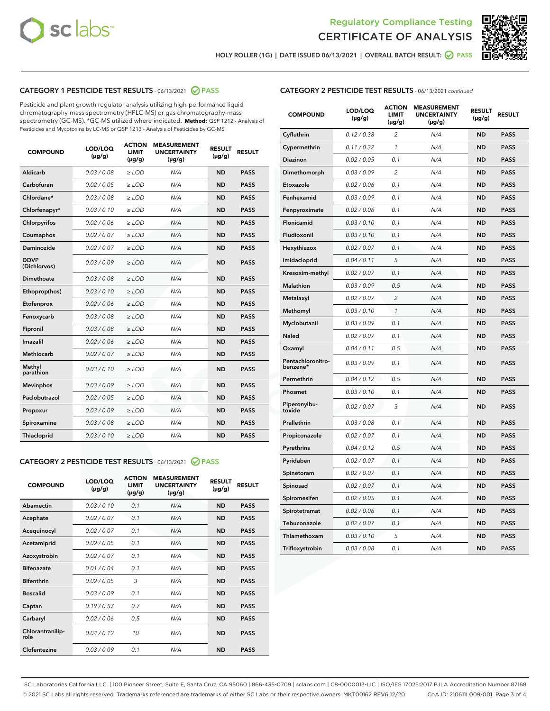



HOLY ROLLER (1G) | DATE ISSUED 06/13/2021 | OVERALL BATCH RESULT:  $\bigcirc$  PASS

# CATEGORY 1 PESTICIDE TEST RESULTS - 06/13/2021 2 PASS

Pesticide and plant growth regulator analysis utilizing high-performance liquid chromatography-mass spectrometry (HPLC-MS) or gas chromatography-mass spectrometry (GC-MS). \*GC-MS utilized where indicated. **Method:** QSP 1212 - Analysis of Pesticides and Mycotoxins by LC-MS or QSP 1213 - Analysis of Pesticides by GC-MS

| <b>COMPOUND</b>             | LOD/LOQ<br>$(\mu g/g)$ | <b>ACTION</b><br><b>LIMIT</b><br>$(\mu g/g)$ | <b>MEASUREMENT</b><br><b>UNCERTAINTY</b><br>$(\mu g/g)$ | <b>RESULT</b><br>$(\mu g/g)$ | <b>RESULT</b> |
|-----------------------------|------------------------|----------------------------------------------|---------------------------------------------------------|------------------------------|---------------|
| Aldicarb                    | 0.03/0.08              | $>$ LOD                                      | N/A                                                     | <b>ND</b>                    | <b>PASS</b>   |
| Carbofuran                  | 0.02 / 0.05            | $\ge$ LOD                                    | N/A                                                     | <b>ND</b>                    | <b>PASS</b>   |
| Chlordane*                  | 0.03/0.08              | $>$ LOD                                      | N/A                                                     | <b>ND</b>                    | <b>PASS</b>   |
| Chlorfenapyr*               | 0.03/0.10              | $\geq$ LOD                                   | N/A                                                     | <b>ND</b>                    | <b>PASS</b>   |
| Chlorpyrifos                | 0.02 / 0.06            | $\geq$ LOD                                   | N/A                                                     | <b>ND</b>                    | <b>PASS</b>   |
| Coumaphos                   | 0.02 / 0.07            | $\ge$ LOD                                    | N/A                                                     | <b>ND</b>                    | <b>PASS</b>   |
| Daminozide                  | 0.02 / 0.07            | $\ge$ LOD                                    | N/A                                                     | <b>ND</b>                    | <b>PASS</b>   |
| <b>DDVP</b><br>(Dichlorvos) | 0.03/0.09              | $\ge$ LOD                                    | N/A                                                     | <b>ND</b>                    | <b>PASS</b>   |
| <b>Dimethoate</b>           | 0.03/0.08              | $\ge$ LOD                                    | N/A                                                     | <b>ND</b>                    | <b>PASS</b>   |
| Ethoprop(hos)               | 0.03/0.10              | $\ge$ LOD                                    | N/A                                                     | <b>ND</b>                    | <b>PASS</b>   |
| Etofenprox                  | 0.02 / 0.06            | $\ge$ LOD                                    | N/A                                                     | <b>ND</b>                    | <b>PASS</b>   |
| Fenoxycarb                  | 0.03/0.08              | $\ge$ LOD                                    | N/A                                                     | <b>ND</b>                    | <b>PASS</b>   |
| Fipronil                    | 0.03/0.08              | $>$ LOD                                      | N/A                                                     | <b>ND</b>                    | <b>PASS</b>   |
| Imazalil                    | 0.02 / 0.06            | $>$ LOD                                      | N/A                                                     | <b>ND</b>                    | <b>PASS</b>   |
| Methiocarb                  | 0.02 / 0.07            | $\ge$ LOD                                    | N/A                                                     | <b>ND</b>                    | <b>PASS</b>   |
| Methyl<br>parathion         | 0.03/0.10              | $\ge$ LOD                                    | N/A                                                     | <b>ND</b>                    | <b>PASS</b>   |
| <b>Mevinphos</b>            | 0.03/0.09              | $\ge$ LOD                                    | N/A                                                     | <b>ND</b>                    | <b>PASS</b>   |
| Paclobutrazol               | 0.02 / 0.05            | $>$ LOD                                      | N/A                                                     | <b>ND</b>                    | <b>PASS</b>   |
| Propoxur                    | 0.03/0.09              | $\ge$ LOD                                    | N/A                                                     | <b>ND</b>                    | <b>PASS</b>   |
| Spiroxamine                 | 0.03/0.08              | $\ge$ LOD                                    | N/A                                                     | <b>ND</b>                    | <b>PASS</b>   |
| Thiacloprid                 | 0.03/0.10              | $\ge$ LOD                                    | N/A                                                     | <b>ND</b>                    | <b>PASS</b>   |

### CATEGORY 2 PESTICIDE TEST RESULTS - 06/13/2021 @ PASS

| <b>COMPOUND</b>          | LOD/LOO<br>$(\mu g/g)$ | <b>ACTION</b><br>LIMIT<br>$(\mu g/g)$ | <b>MEASUREMENT</b><br><b>UNCERTAINTY</b><br>$(\mu g/g)$ | <b>RESULT</b><br>$(\mu g/g)$ | <b>RESULT</b> |
|--------------------------|------------------------|---------------------------------------|---------------------------------------------------------|------------------------------|---------------|
| Abamectin                | 0.03/0.10              | 0.1                                   | N/A                                                     | <b>ND</b>                    | <b>PASS</b>   |
| Acephate                 | 0.02/0.07              | 0.1                                   | N/A                                                     | <b>ND</b>                    | <b>PASS</b>   |
| Acequinocyl              | 0.02/0.07              | 0.1                                   | N/A                                                     | <b>ND</b>                    | <b>PASS</b>   |
| Acetamiprid              | 0.02/0.05              | 0.1                                   | N/A                                                     | <b>ND</b>                    | <b>PASS</b>   |
| Azoxystrobin             | 0.02/0.07              | 0.1                                   | N/A                                                     | <b>ND</b>                    | <b>PASS</b>   |
| <b>Bifenazate</b>        | 0.01/0.04              | 0.1                                   | N/A                                                     | <b>ND</b>                    | <b>PASS</b>   |
| <b>Bifenthrin</b>        | 0.02/0.05              | 3                                     | N/A                                                     | <b>ND</b>                    | <b>PASS</b>   |
| <b>Boscalid</b>          | 0.03/0.09              | 0.1                                   | N/A                                                     | <b>ND</b>                    | <b>PASS</b>   |
| Captan                   | 0.19/0.57              | 0.7                                   | N/A                                                     | <b>ND</b>                    | <b>PASS</b>   |
| Carbaryl                 | 0.02/0.06              | 0.5                                   | N/A                                                     | <b>ND</b>                    | <b>PASS</b>   |
| Chlorantranilip-<br>role | 0.04/0.12              | 10                                    | N/A                                                     | <b>ND</b>                    | <b>PASS</b>   |
| Clofentezine             | 0.03/0.09              | 0.1                                   | N/A                                                     | <b>ND</b>                    | <b>PASS</b>   |

| <b>CATEGORY 2 PESTICIDE TEST RESULTS</b> - 06/13/2021 continued |
|-----------------------------------------------------------------|
|                                                                 |

| <b>COMPOUND</b>               | LOD/LOQ<br>(µg/g) | <b>ACTION</b><br>LIMIT<br>$(\mu g/g)$ | <b>MEASUREMENT</b><br><b>UNCERTAINTY</b><br>(µg/g) | <b>RESULT</b><br>(µg/g) | <b>RESULT</b> |
|-------------------------------|-------------------|---------------------------------------|----------------------------------------------------|-------------------------|---------------|
| Cyfluthrin                    | 0.12 / 0.38       | 2                                     | N/A                                                | <b>ND</b>               | <b>PASS</b>   |
| Cypermethrin                  | 0.11 / 0.32       | $\mathcal{I}$                         | N/A                                                | <b>ND</b>               | <b>PASS</b>   |
| Diazinon                      | 0.02 / 0.05       | 0.1                                   | N/A                                                | ND                      | <b>PASS</b>   |
| Dimethomorph                  | 0.03 / 0.09       | $\overline{c}$                        | N/A                                                | <b>ND</b>               | <b>PASS</b>   |
| Etoxazole                     | 0.02 / 0.06       | 0.1                                   | N/A                                                | <b>ND</b>               | <b>PASS</b>   |
| Fenhexamid                    | 0.03 / 0.09       | 0.1                                   | N/A                                                | <b>ND</b>               | <b>PASS</b>   |
| Fenpyroximate                 | 0.02 / 0.06       | 0.1                                   | N/A                                                | <b>ND</b>               | <b>PASS</b>   |
| Flonicamid                    | 0.03 / 0.10       | 0.1                                   | N/A                                                | <b>ND</b>               | <b>PASS</b>   |
| Fludioxonil                   | 0.03 / 0.10       | 0.1                                   | N/A                                                | <b>ND</b>               | <b>PASS</b>   |
| Hexythiazox                   | 0.02 / 0.07       | 0.1                                   | N/A                                                | <b>ND</b>               | <b>PASS</b>   |
| Imidacloprid                  | 0.04 / 0.11       | 5                                     | N/A                                                | <b>ND</b>               | <b>PASS</b>   |
| Kresoxim-methyl               | 0.02 / 0.07       | 0.1                                   | N/A                                                | <b>ND</b>               | <b>PASS</b>   |
| <b>Malathion</b>              | 0.03 / 0.09       | 0.5                                   | N/A                                                | <b>ND</b>               | <b>PASS</b>   |
| Metalaxyl                     | 0.02 / 0.07       | $\overline{2}$                        | N/A                                                | <b>ND</b>               | <b>PASS</b>   |
| Methomyl                      | 0.03 / 0.10       | 1                                     | N/A                                                | <b>ND</b>               | <b>PASS</b>   |
| Myclobutanil                  | 0.03 / 0.09       | 0.1                                   | N/A                                                | <b>ND</b>               | <b>PASS</b>   |
| Naled                         | 0.02 / 0.07       | 0.1                                   | N/A                                                | <b>ND</b>               | <b>PASS</b>   |
| Oxamyl                        | 0.04 / 0.11       | 0.5                                   | N/A                                                | <b>ND</b>               | <b>PASS</b>   |
| Pentachloronitro-<br>benzene* | 0.03 / 0.09       | 0.1                                   | N/A                                                | <b>ND</b>               | <b>PASS</b>   |
| Permethrin                    | 0.04 / 0.12       | 0.5                                   | N/A                                                | <b>ND</b>               | <b>PASS</b>   |
| Phosmet                       | 0.03/0.10         | 0.1                                   | N/A                                                | <b>ND</b>               | <b>PASS</b>   |
| Piperonylbu-<br>toxide        | 0.02 / 0.07       | 3                                     | N/A                                                | <b>ND</b>               | <b>PASS</b>   |
| Prallethrin                   | 0.03 / 0.08       | 0.1                                   | N/A                                                | <b>ND</b>               | <b>PASS</b>   |
| Propiconazole                 | 0.02 / 0.07       | 0.1                                   | N/A                                                | <b>ND</b>               | <b>PASS</b>   |
| Pyrethrins                    | 0.04 / 0.12       | 0.5                                   | N/A                                                | <b>ND</b>               | <b>PASS</b>   |
| Pyridaben                     | 0.02 / 0.07       | 0.1                                   | N/A                                                | <b>ND</b>               | <b>PASS</b>   |
| Spinetoram                    | 0.02 / 0.07       | 0.1                                   | N/A                                                | <b>ND</b>               | <b>PASS</b>   |
| Spinosad                      | 0.02 / 0.07       | 0.1                                   | N/A                                                | <b>ND</b>               | <b>PASS</b>   |
| Spiromesifen                  | 0.02 / 0.05       | 0.1                                   | N/A                                                | <b>ND</b>               | <b>PASS</b>   |
| Spirotetramat                 | 0.02 / 0.06       | 0.1                                   | N/A                                                | <b>ND</b>               | <b>PASS</b>   |
| Tebuconazole                  | 0.02 / 0.07       | 0.1                                   | N/A                                                | <b>ND</b>               | <b>PASS</b>   |
| Thiamethoxam                  | 0.03 / 0.10       | 5                                     | N/A                                                | <b>ND</b>               | <b>PASS</b>   |
| Trifloxystrobin               | 0.03 / 0.08       | 0.1                                   | N/A                                                | <b>ND</b>               | <b>PASS</b>   |

SC Laboratories California LLC. | 100 Pioneer Street, Suite E, Santa Cruz, CA 95060 | 866-435-0709 | sclabs.com | C8-0000013-LIC | ISO/IES 17025:2017 PJLA Accreditation Number 87168 © 2021 SC Labs all rights reserved. Trademarks referenced are trademarks of either SC Labs or their respective owners. MKT00162 REV6 12/20 CoA ID: 210611L009-001 Page 3 of 4